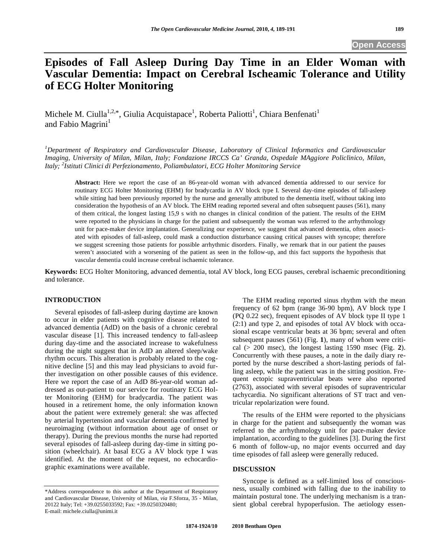# **Episodes of Fall Asleep During Day Time in an Elder Woman with Vascular Dementia: Impact on Cerebral Ischeamic Tolerance and Utility of ECG Holter Monitoring**

Michele M. Ciulla<sup>1,2,\*</sup>, Giulia Acquistapace<sup>1</sup>, Roberta Paliotti<sup>1</sup>, Chiara Benfenati<sup>1</sup> and Fabio Magrini<sup>1</sup>

*1 Department of Respiratory and Cardiovascular Disease, Laboratory of Clinical Informatics and Cardiovascular Imaging, University of Milan, Milan, Italy; Fondazione IRCCS Ca' Granda, Ospedale MAggiore Policlinico, Milan, Italy; 2 Istituti Clinici di Perfezionamento, Poliambulatori, ECG Holter Monitoring Service* 

**Abstract:** Here we report the case of an 86-year-old woman with advanced dementia addressed to our service for routinary ECG Holter Monitoring (EHM) for bradycardia in AV block type I. Several day-time episodes of fall-asleep while sitting had been previously reported by the nurse and generally attributed to the dementia itself, without taking into consideration the hypothesis of an AV block. The EHM reading reported several and often subsequent pauses (561), many of them critical, the longest lasting 15,9 s with no changes in clinical condition of the patient. The results of the EHM were reported to the physicians in charge for the patient and subsequently the woman was referred to the arrhythmology unit for pace-maker device implantation. Generalizing our experience, we suggest that advanced dementia, often associated with episodes of fall-asleep, could mask a conduction disturbance causing critical pauses with syncope; therefore we suggest screening those patients for possible arrhythmic disorders. Finally, we remark that in our patient the pauses weren't associated with a worsening of the patient as seen in the follow-up, and this fact supports the hypothesis that vascular dementia could increase cerebral ischaemic tolerance.

**Keywords:** ECG Holter Monitoring, advanced dementia, total AV block, long ECG pauses, cerebral ischaemic preconditioning and tolerance.

## **INTRODUCTION**

 Several episodes of fall-asleep during daytime are known to occur in elder patients with cognitive disease related to advanced dementia (AdD) on the basis of a chronic cerebral vascular disease [1]. This increased tendency to fall-asleep during day-time and the associated increase to wakefulness during the night suggest that in AdD an altered sleep/wake rhythm occurs. This alteration is probably related to the cognitive decline [5] and this may lead physicians to avoid further investigation on other possible causes of this evidence. Here we report the case of an AdD 86-year-old woman addressed as out-patient to our service for routinary ECG Holter Monitoring (EHM) for bradycardia. The patient was housed in a retirement home, the only information known about the patient were extremely general: she was affected by arterial hypertension and vascular dementia confirmed by neuroimaging (without information about age of onset or therapy). During the previous months the nurse had reported several episodes of fall-asleep during day-time in sitting position (wheelchair). At basal ECG a AV block type I was identified. At the moment of the request, no echocardiographic examinations were available.

 The EHM reading reported sinus rhythm with the mean frequency of 62 bpm (range 36-90 bpm), AV block type I (PQ 0.22 sec), frequent episodes of AV block type II type 1 (2:1) and type 2, and episodes of total AV block with occasional escape ventricular beats at 36 bpm; several and often subsequent pauses (561) (Fig. **1**), many of whom were critical (> 200 msec), the longest lasting 1590 msec (Fig. **2**). Concurrently with these pauses, a note in the daily diary reported by the nurse described a short-lasting periods of falling asleep, while the patient was in the sitting position. Frequent ectopic supraventricular beats were also reported (2763), associated with several episodes of supraventricular tachycardia. No significant alterations of ST tract and ventricular repolarization were found.

 The results of the EHM were reported to the physicians in charge for the patient and subsequently the woman was referred to the arrhythmology unit for pace-maker device implantation, according to the guidelines [3]. During the first 6 month of follow-up, no major events occurred and day time episodes of fall asleep were generally reduced.

### **DISCUSSION**

 Syncope is defined as a self-limited loss of consciousness, usually combined with falling due to the inability to maintain postural tone. The underlying mechanism is a transient global cerebral hypoperfusion. The aetiology essen-

<sup>\*</sup>Address correspondence to this author at the Department of Respiratory and Cardiovascular Disease, University of Milan, *via* F.Sforza, 35 - Milan, 20122 Italy; Tel: +39.0255033592; Fax: +39.0250320480; E-mail: michele.ciulla@unimi.it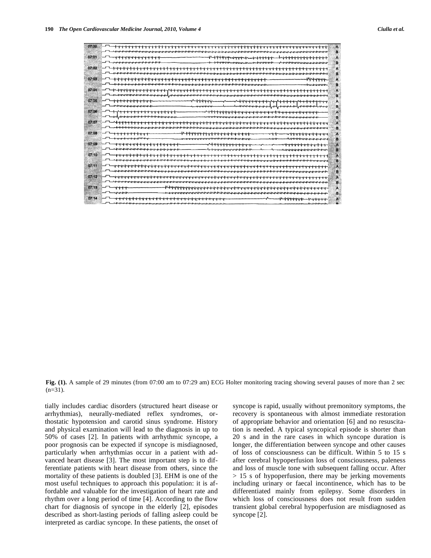**Fig. (1).** A sample of 29 minutes (from 07:00 am to 07:29 am) ECG Holter monitoring tracing showing several pauses of more than 2 sec  $(n=31)$ .

tially includes cardiac disorders (structured heart disease or arrhythmias), neurally-mediated reflex syndromes, orthostatic hypotension and carotid sinus syndrome. History and physical examination will lead to the diagnosis in up to 50% of cases [2]. In patients with arrhythmic syncope, a poor prognosis can be expected if syncope is misdiagnosed, particularly when arrhythmias occur in a patient with advanced heart disease [3]. The most important step is to differentiate patients with heart disease from others, since the mortality of these patients is doubled [3]. EHM is one of the most useful techniques to approach this population: it is affordable and valuable for the investigation of heart rate and rhythm over a long period of time [4]. According to the flow chart for diagnosis of syncope in the elderly [2], episodes described as short-lasting periods of falling asleep could be interpreted as cardiac syncope. In these patients, the onset of

syncope is rapid, usually without premonitory symptoms, the recovery is spontaneous with almost immediate restoration of appropriate behavior and orientation [6] and no resuscitation is needed. A typical syncopical episode is shorter than 20 s and in the rare cases in which syncope duration is longer, the differentiation between syncope and other causes of loss of consciousness can be difficult. Within 5 to 15 s after cerebral hypoperfusion loss of consciousness, paleness and loss of muscle tone with subsequent falling occur. After > 15 s of hypoperfusion, there may be jerking movements including urinary or faecal incontinence, which has to be differentiated mainly from epilepsy. Some disorders in which loss of consciousness does not result from sudden transient global cerebral hypoperfusion are misdiagnosed as syncope [2].